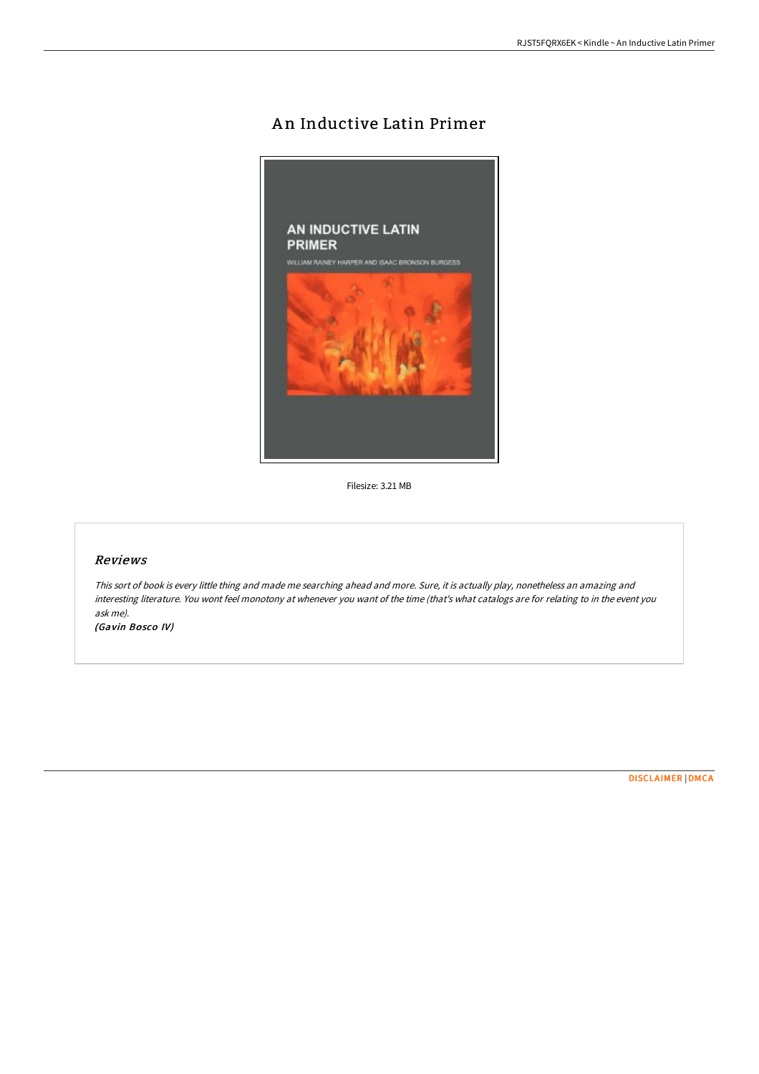# An Inductive Latin Primer



Filesize: 3.21 MB

### Reviews

This sort of book is every little thing and made me searching ahead and more. Sure, it is actually play, nonetheless an amazing and interesting literature. You wont feel monotony at whenever you want of the time (that's what catalogs are for relating to in the event you ask me).

(Gavin Bosco IV)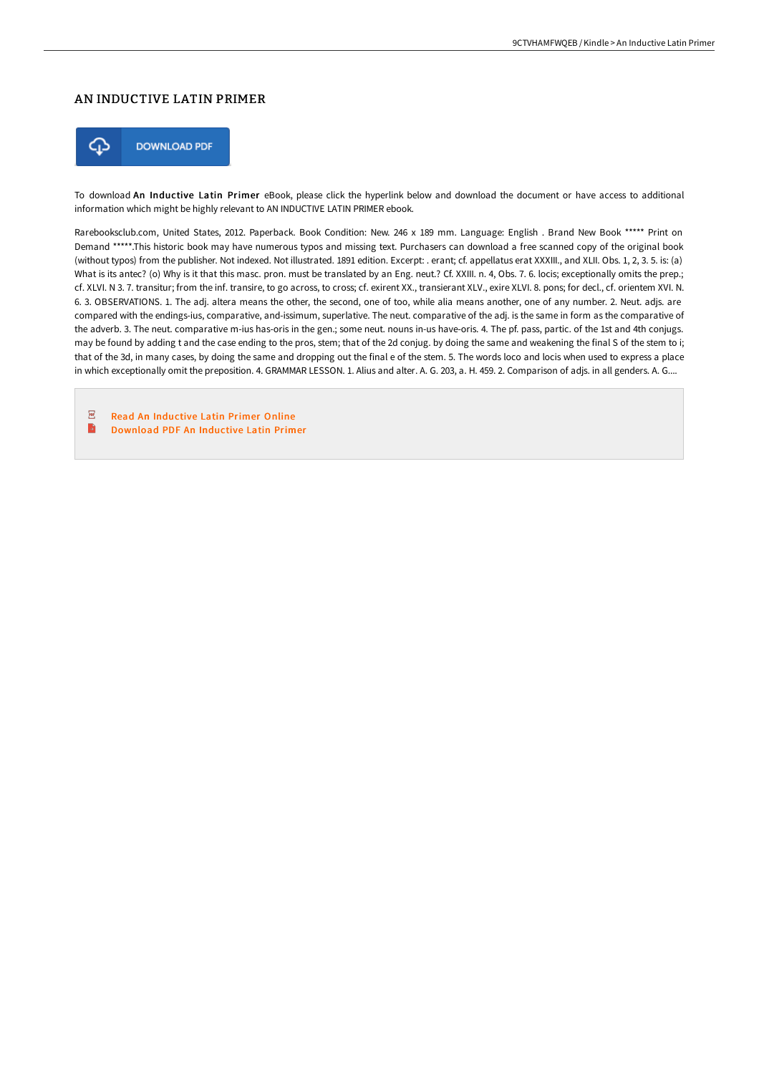## AN INDUCTIVE LATIN PRIMER



To download An Inductive Latin Primer eBook, please click the hyperlink below and download the document or have access to additional information which might be highly relevant to AN INDUCTIVE LATIN PRIMER ebook.

Rarebooksclub.com, United States, 2012. Paperback. Book Condition: New. 246 x 189 mm. Language: English . Brand New Book \*\*\*\*\* Print on Demand \*\*\*\*\*.This historic book may have numerous typos and missing text. Purchasers can download a free scanned copy of the original book (without typos) from the publisher. Not indexed. Not illustrated. 1891 edition. Excerpt: . erant; cf. appellatus erat XXXIII., and XLII. Obs. 1, 2, 3. 5. is: (a) What is its antec? (o) Why is it that this masc. pron. must be translated by an Eng. neut.? Cf. XXIII. n. 4, Obs. 7. 6. locis; exceptionally omits the prep.; cf. XLVI. N 3. 7. transitur; from the inf. transire, to go across, to cross; cf. exirent XX., transierant XLV., exire XLVI. 8. pons; for decl., cf. orientem XVI. N. 6. 3. OBSERVATIONS. 1. The adj. altera means the other, the second, one of too, while alia means another, one of any number. 2. Neut. adjs. are compared with the endings-ius, comparative, and-issimum, superlative. The neut. comparative of the adj. is the same in form as the comparative of the adverb. 3. The neut. comparative m-ius has-oris in the gen.; some neut. nouns in-us have-oris. 4. The pf. pass, partic. of the 1st and 4th conjugs. may be found by adding t and the case ending to the pros, stem; that of the 2d conjug. by doing the same and weakening the final S of the stem to i; that of the 3d, in many cases, by doing the same and dropping out the final e of the stem. 5. The words loco and locis when used to express a place in which exceptionally omit the preposition. 4. GRAMMAR LESSON. 1. Alius and alter. A. G. 203, a. H. 459. 2. Comparison of adjs. in all genders. A. G....

 $\overline{\mathbb{R}^n}$ Read An [Inductive](http://albedo.media/an-inductive-latin-primer-paperback.html) Latin Primer Online B [Download](http://albedo.media/an-inductive-latin-primer-paperback.html) PDF An Inductive Latin Primer